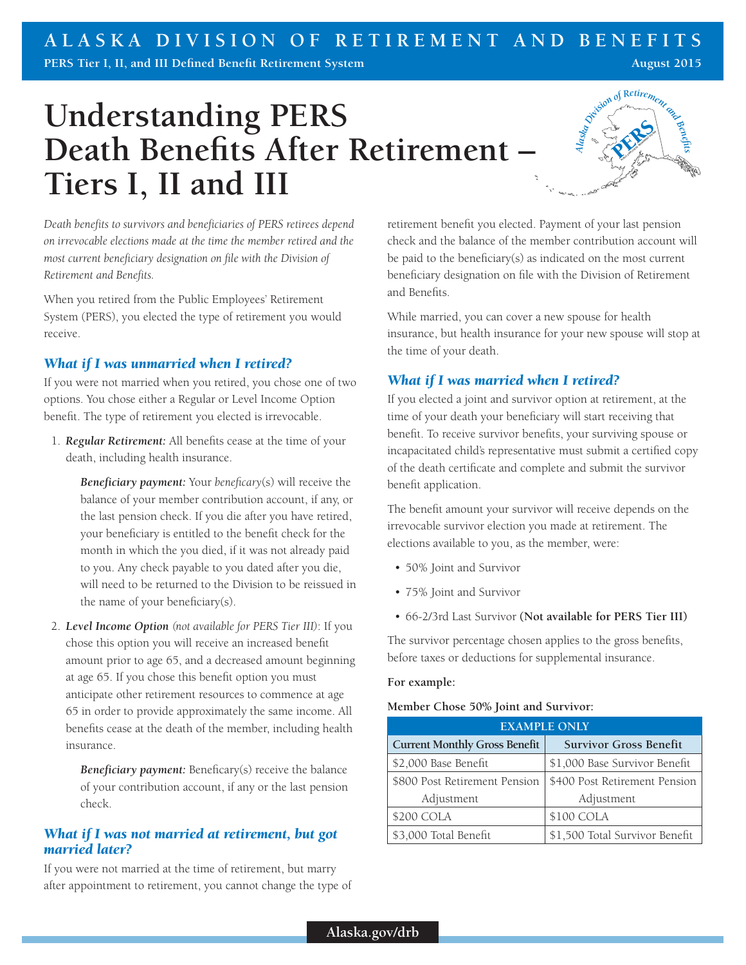## **ALASKA DIVISION OF RETIREMENT AND BENEFITS**

**PERS Tier I, II, and III Defined Benefit Retirement System**

# **Understanding PERS Death Benefits After Retirement – Tiers I, II and III**



**August 2015**

*Death benefits to survivors and beneficiaries of PERS retirees depend on irrevocable elections made at the time the member retired and the most current beneficiary designation on file with the Division of Retirement and Benefits.*

When you retired from the Public Employees' Retirement System (PERS), you elected the type of retirement you would receive.

## *What if I was unmarried when I retired?*

If you were not married when you retired, you chose one of two options. You chose either a Regular or Level Income Option benefit. The type of retirement you elected is irrevocable.

1. *Regular Retirement:* All benefits cease at the time of your death, including health insurance.

*Beneficiary payment:* Your *beneficary*(s) will receive the balance of your member contribution account, if any, or the last pension check. If you die after you have retired, your beneficiary is entitled to the benefit check for the month in which the you died, if it was not already paid to you. Any check payable to you dated after you die, will need to be returned to the Division to be reissued in the name of your beneficiary(s).

2. *Level Income Option (not available for PERS Tier III)*: If you chose this option you will receive an increased benefit amount prior to age 65, and a decreased amount beginning at age 65. If you chose this benefit option you must anticipate other retirement resources to commence at age 65 in order to provide approximately the same income. All benefits cease at the death of the member, including health insurance.

*Beneficiary payment:* Beneficary(s) receive the balance of your contribution account, if any or the last pension check.

## *What if I was not married at retirement, but got married later?*

If you were not married at the time of retirement, but marry after appointment to retirement, you cannot change the type of retirement benefit you elected. Payment of your last pension check and the balance of the member contribution account will be paid to the beneficiary(s) as indicated on the most current beneficiary designation on file with the Division of Retirement and Benefits.

While married, you can cover a new spouse for health insurance, but health insurance for your new spouse will stop at the time of your death.

## *What if I was married when I retired?*

If you elected a joint and survivor option at retirement, at the time of your death your beneficiary will start receiving that benefit. To receive survivor benefits, your surviving spouse or incapacitated child's representative must submit a certified copy of the death certificate and complete and submit the survivor benefit application.

The benefit amount your survivor will receive depends on the irrevocable survivor election you made at retirement. The elections available to you, as the member, were:

- 50% Joint and Survivor
- 75% Joint and Survivor
- 66-2/3rd Last Survivor **(Not available for PERS Tier III)**

The survivor percentage chosen applies to the gross benefits, before taxes or deductions for supplemental insurance.

#### **For example:**

#### **Member Chose 50% Joint and Survivor:**

| <b>EXAMPLE ONLY</b>                  |                                |  |
|--------------------------------------|--------------------------------|--|
| <b>Current Monthly Gross Benefit</b> | <b>Survivor Gross Benefit</b>  |  |
| \$2,000 Base Benefit                 | \$1,000 Base Survivor Benefit  |  |
| \$800 Post Retirement Pension        | \$400 Post Retirement Pension  |  |
| Adjustment                           | Adjustment                     |  |
| \$200 COLA                           | \$100 COLA                     |  |
| \$3,000 Total Benefit                | \$1,500 Total Survivor Benefit |  |